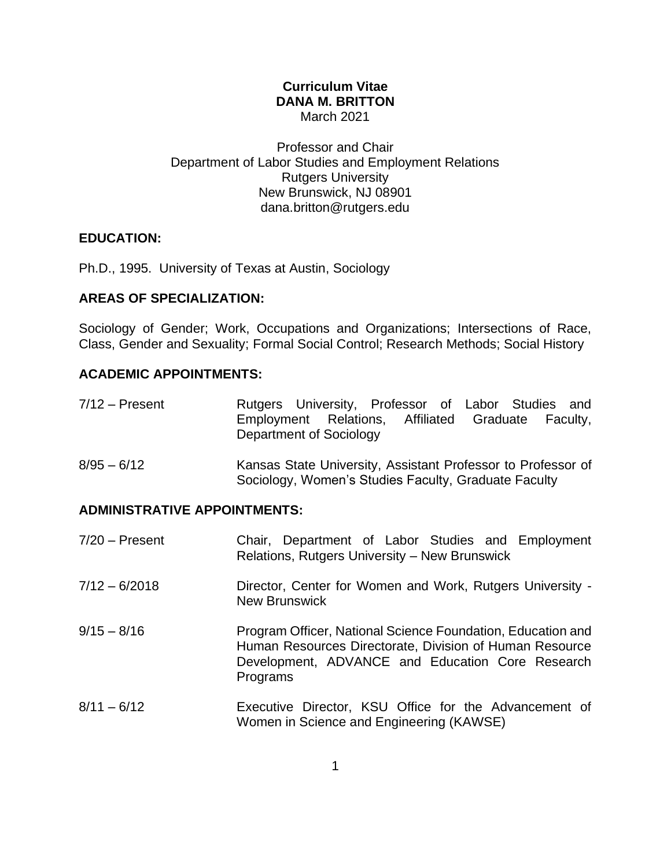### **Curriculum Vitae DANA M. BRITTON** March 2021

Professor and Chair Department of Labor Studies and Employment Relations Rutgers University New Brunswick, NJ 08901 dana.britton@rutgers.edu

## **EDUCATION:**

Ph.D., 1995. University of Texas at Austin, Sociology

## **AREAS OF SPECIALIZATION:**

Sociology of Gender; Work, Occupations and Organizations; Intersections of Race, Class, Gender and Sexuality; Formal Social Control; Research Methods; Social History

## **ACADEMIC APPOINTMENTS:**

| $7/12$ – Present    | Rutgers University, Professor of Labor Studies and                            |  |  |
|---------------------|-------------------------------------------------------------------------------|--|--|
|                     | Employment Relations, Affiliated Graduate Faculty,<br>Department of Sociology |  |  |
| $R/\Omega F = R/12$ | Kansas State University Assistant Professor to Professor of                   |  |  |

8/95 – 6/12 Kansas State University, Assistant Professor to Professor of Sociology, Women's Studies Faculty, Graduate Faculty

## **ADMINISTRATIVE APPOINTMENTS:**

| $7/20$ – Present | Chair, Department of Labor Studies and Employment<br>Relations, Rutgers University - New Brunswick                                                                                     |  |  |
|------------------|----------------------------------------------------------------------------------------------------------------------------------------------------------------------------------------|--|--|
| $7/12 - 6/2018$  | Director, Center for Women and Work, Rutgers University -<br><b>New Brunswick</b>                                                                                                      |  |  |
| $9/15 - 8/16$    | Program Officer, National Science Foundation, Education and<br>Human Resources Directorate, Division of Human Resource<br>Development, ADVANCE and Education Core Research<br>Programs |  |  |
| $8/11 - 6/12$    | Executive Director, KSU Office for the Advancement of<br>Women in Science and Engineering (KAWSE)                                                                                      |  |  |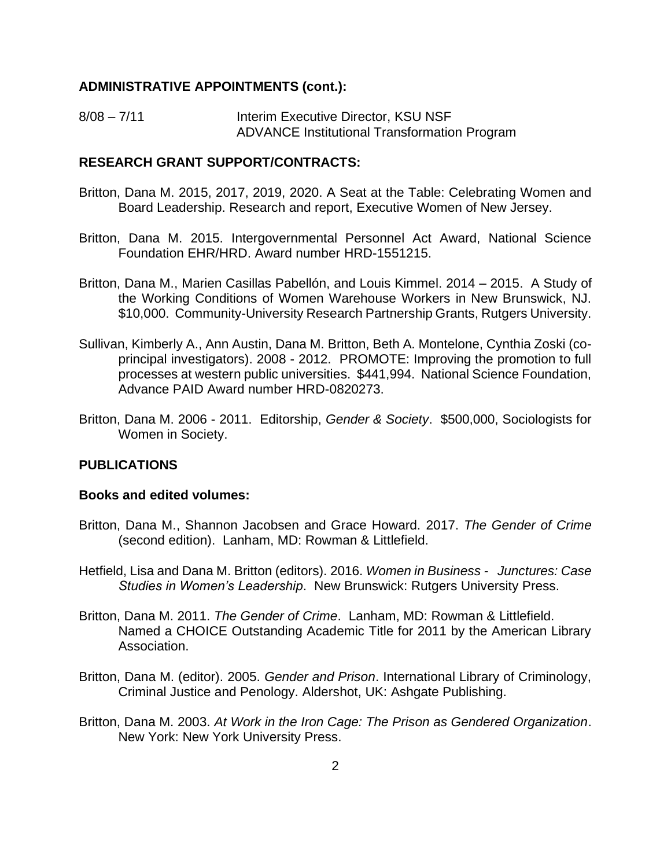#### **ADMINISTRATIVE APPOINTMENTS (cont.):**

8/08 - 7/11 Interim Executive Director, KSU NSF ADVANCE Institutional Transformation Program

### **RESEARCH GRANT SUPPORT/CONTRACTS:**

- Britton, Dana M. 2015, 2017, 2019, 2020. A Seat at the Table: Celebrating Women and Board Leadership. Research and report, Executive Women of New Jersey.
- Britton, Dana M. 2015. Intergovernmental Personnel Act Award, National Science Foundation EHR/HRD. Award number HRD-1551215.
- Britton, Dana M., Marien Casillas Pabellón, and Louis Kimmel. 2014 2015. A Study of the Working Conditions of Women Warehouse Workers in New Brunswick, NJ. \$10,000. Community-University Research Partnership Grants, Rutgers University.
- Sullivan, Kimberly A., Ann Austin, Dana M. Britton, Beth A. Montelone, Cynthia Zoski (coprincipal investigators). 2008 - 2012. PROMOTE: Improving the promotion to full processes at western public universities. \$441,994. National Science Foundation, Advance PAID Award number HRD-0820273.
- Britton, Dana M. 2006 2011. Editorship, *Gender & Society*. \$500,000, Sociologists for Women in Society.

### **PUBLICATIONS**

#### **Books and edited volumes:**

- Britton, Dana M., Shannon Jacobsen and Grace Howard. 2017. *The Gender of Crime*  (second edition). Lanham, MD: Rowman & Littlefield.
- Hetfield, Lisa and Dana M. Britton (editors). 2016. *Women in Business Junctures: Case Studies in Women's Leadership*. New Brunswick: Rutgers University Press.
- Britton, Dana M. 2011. *The Gender of Crime*. Lanham, MD: Rowman & Littlefield. Named a CHOICE Outstanding Academic Title for 2011 by the American Library Association.
- Britton, Dana M. (editor). 2005. *Gender and Prison*. International Library of Criminology, Criminal Justice and Penology. Aldershot, UK: Ashgate Publishing.
- Britton, Dana M. 2003. *At Work in the Iron Cage: The Prison as Gendered Organization*. New York: New York University Press.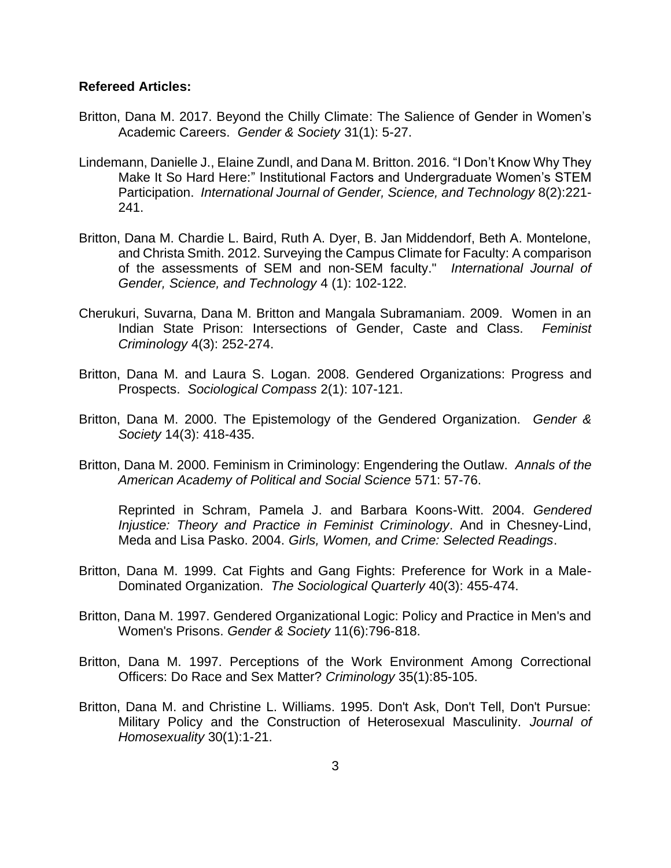#### **Refereed Articles:**

- Britton, Dana M. 2017. Beyond the Chilly Climate: The Salience of Gender in Women's Academic Careers. *Gender & Society* 31(1): 5-27.
- Lindemann, Danielle J., Elaine Zundl, and Dana M. Britton. 2016. "I Don't Know Why They Make It So Hard Here:" Institutional Factors and Undergraduate Women's STEM Participation. *International Journal of Gender, Science, and Technology* 8(2):221- 241.
- Britton, Dana M. Chardie L. Baird, Ruth A. Dyer, B. Jan Middendorf, Beth A. Montelone, and Christa Smith. 2012. Surveying the Campus Climate for Faculty: A comparison of the assessments of SEM and non-SEM faculty." *International Journal of Gender, Science, and Technology* 4 (1): 102-122.
- Cherukuri, Suvarna, Dana M. Britton and Mangala Subramaniam. 2009. Women in an Indian State Prison: Intersections of Gender, Caste and Class. *Feminist Criminology* 4(3): 252-274.
- Britton, Dana M. and Laura S. Logan. 2008. Gendered Organizations: Progress and Prospects. *Sociological Compass* 2(1): 107-121.
- Britton, Dana M. 2000. The Epistemology of the Gendered Organization. *Gender & Society* 14(3): 418-435.
- Britton, Dana M. 2000. Feminism in Criminology: Engendering the Outlaw. *Annals of the American Academy of Political and Social Science* 571: 57-76.

Reprinted in Schram, Pamela J. and Barbara Koons-Witt. 2004. *Gendered Injustice: Theory and Practice in Feminist Criminology*. And in Chesney-Lind, Meda and Lisa Pasko. 2004. *Girls, Women, and Crime: Selected Readings*.

- Britton, Dana M. 1999. Cat Fights and Gang Fights: Preference for Work in a Male-Dominated Organization. *The Sociological Quarterly* 40(3): 455-474.
- Britton, Dana M. 1997. Gendered Organizational Logic: Policy and Practice in Men's and Women's Prisons. *Gender & Society* 11(6):796-818.
- Britton, Dana M. 1997. Perceptions of the Work Environment Among Correctional Officers: Do Race and Sex Matter? *Criminology* 35(1):85-105.
- Britton, Dana M. and Christine L. Williams. 1995. Don't Ask, Don't Tell, Don't Pursue: Military Policy and the Construction of Heterosexual Masculinity. *Journal of Homosexuality* 30(1):1-21.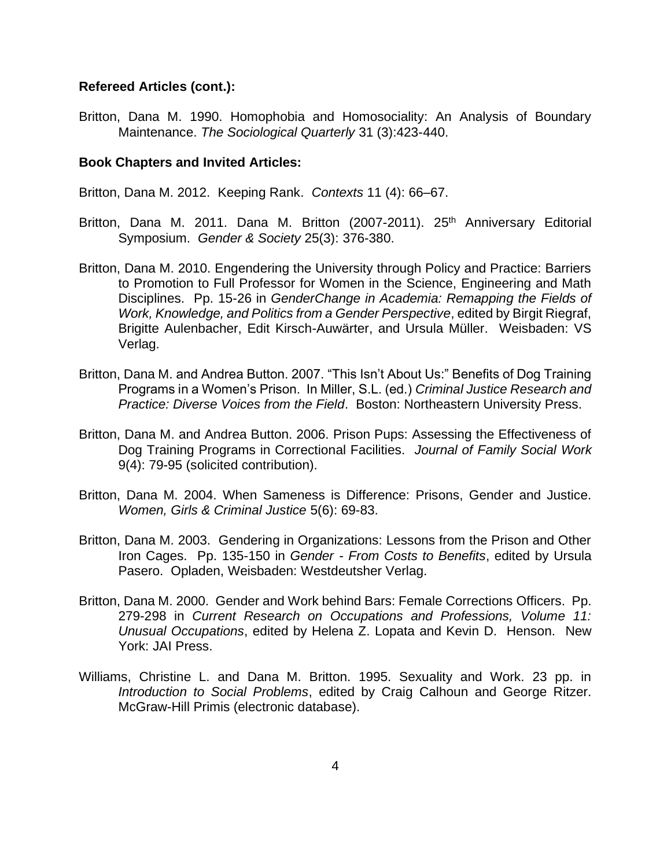#### **Refereed Articles (cont.):**

Britton, Dana M. 1990. Homophobia and Homosociality: An Analysis of Boundary Maintenance. *The Sociological Quarterly* 31 (3):423-440.

#### **Book Chapters and Invited Articles:**

Britton, Dana M. 2012. Keeping Rank. *Contexts* 11 (4): 66–67.

- Britton, Dana M. 2011. Dana M. Britton (2007-2011). 25<sup>th</sup> Anniversary Editorial Symposium. *Gender & Society* 25(3): 376-380.
- Britton, Dana M. 2010. Engendering the University through Policy and Practice: Barriers to Promotion to Full Professor for Women in the Science, Engineering and Math Disciplines. Pp. 15-26 in *GenderChange in Academia: Remapping the Fields of Work, Knowledge, and Politics from a Gender Perspective*, edited by Birgit Riegraf, Brigitte Aulenbacher, Edit Kirsch-Auwärter, and Ursula Müller. Weisbaden: VS Verlag.
- Britton, Dana M. and Andrea Button. 2007. "This Isn't About Us:" Benefits of Dog Training Programs in a Women's Prison. In Miller, S.L. (ed.) *Criminal Justice Research and Practice: Diverse Voices from the Field*. Boston: Northeastern University Press.
- Britton, Dana M. and Andrea Button. 2006. Prison Pups: Assessing the Effectiveness of Dog Training Programs in Correctional Facilities. *Journal of Family Social Work* 9(4): 79-95 (solicited contribution).
- Britton, Dana M. 2004. When Sameness is Difference: Prisons, Gender and Justice. *Women, Girls & Criminal Justice* 5(6): 69-83.
- Britton, Dana M. 2003. Gendering in Organizations: Lessons from the Prison and Other Iron Cages. Pp. 135-150 in *Gender - From Costs to Benefits*, edited by Ursula Pasero. Opladen, Weisbaden: Westdeutsher Verlag.
- Britton, Dana M. 2000. Gender and Work behind Bars: Female Corrections Officers. Pp. 279-298 in *Current Research on Occupations and Professions, Volume 11: Unusual Occupations*, edited by Helena Z. Lopata and Kevin D. Henson. New York: JAI Press.
- Williams, Christine L. and Dana M. Britton. 1995. Sexuality and Work. 23 pp. in *Introduction to Social Problems*, edited by Craig Calhoun and George Ritzer. McGraw-Hill Primis (electronic database).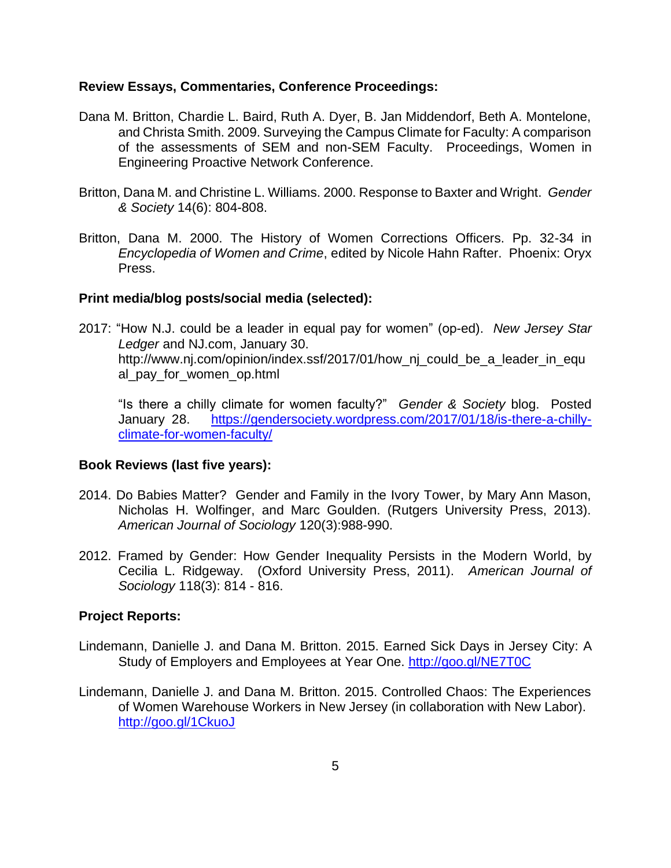#### **Review Essays, Commentaries, Conference Proceedings:**

- Dana M. Britton, Chardie L. Baird, Ruth A. Dyer, B. Jan Middendorf, Beth A. Montelone, and Christa Smith. 2009. Surveying the Campus Climate for Faculty: A comparison of the assessments of SEM and non-SEM Faculty. Proceedings, Women in Engineering Proactive Network Conference.
- Britton, Dana M. and Christine L. Williams. 2000. Response to Baxter and Wright. *Gender & Society* 14(6): 804-808.
- Britton, Dana M. 2000. The History of Women Corrections Officers. Pp. 32-34 in *Encyclopedia of Women and Crime*, edited by Nicole Hahn Rafter. Phoenix: Oryx Press.

### **Print media/blog posts/social media (selected):**

2017: "How N.J. could be a leader in equal pay for women" (op-ed). *New Jersey Star Ledger* and NJ.com, January 30. http://www.nj.com/opinion/index.ssf/2017/01/how nj could be a leader in equ al\_pay\_for\_women\_op.html

"Is there a chilly climate for women faculty?" *Gender & Society* blog. Posted January 28. [https://gendersociety.wordpress.com/2017/01/18/is-there-a-chilly](https://gendersociety.wordpress.com/2017/01/18/is-there-a-chilly-climate-for-women-faculty/)[climate-for-women-faculty/](https://gendersociety.wordpress.com/2017/01/18/is-there-a-chilly-climate-for-women-faculty/)

### **Book Reviews (last five years):**

- 2014. Do Babies Matter? Gender and Family in the Ivory Tower, by Mary Ann Mason, Nicholas H. Wolfinger, and Marc Goulden. (Rutgers University Press, 2013). *American Journal of Sociology* 120(3):988-990.
- 2012. Framed by Gender: How Gender Inequality Persists in the Modern World, by Cecilia L. Ridgeway. (Oxford University Press, 2011). *American Journal of Sociology* 118(3): 814 - 816.

### **Project Reports:**

- Lindemann, Danielle J. and Dana M. Britton. 2015. Earned Sick Days in Jersey City: A Study of Employers and Employees at Year One.<http://goo.gl/NE7T0C>
- Lindemann, Danielle J. and Dana M. Britton. 2015. Controlled Chaos: The Experiences of Women Warehouse Workers in New Jersey (in collaboration with New Labor). <http://goo.gl/1CkuoJ>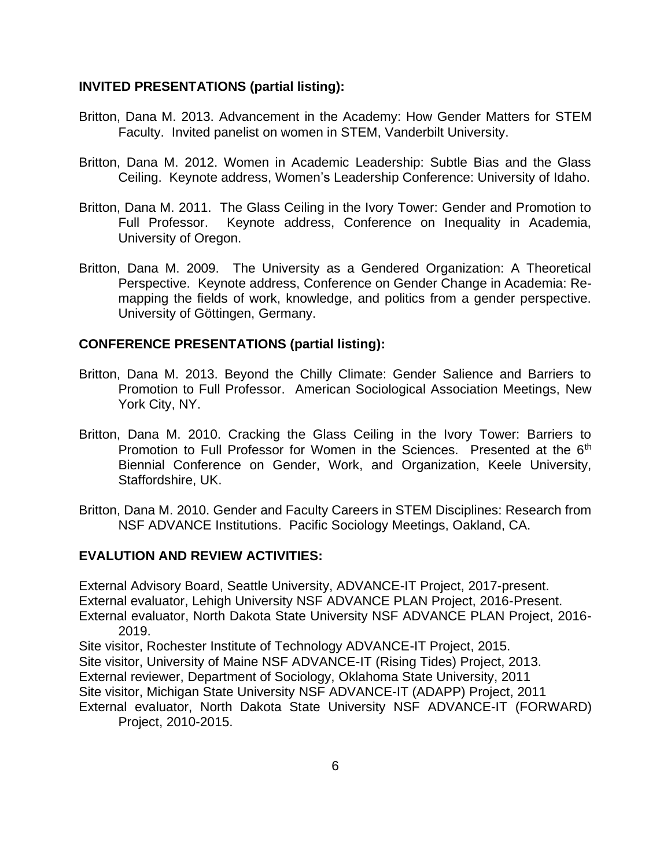### **INVITED PRESENTATIONS (partial listing):**

- Britton, Dana M. 2013. Advancement in the Academy: How Gender Matters for STEM Faculty. Invited panelist on women in STEM, Vanderbilt University.
- Britton, Dana M. 2012. Women in Academic Leadership: Subtle Bias and the Glass Ceiling. Keynote address, Women's Leadership Conference: University of Idaho.
- Britton, Dana M. 2011. The Glass Ceiling in the Ivory Tower: Gender and Promotion to Full Professor. Keynote address, Conference on Inequality in Academia, University of Oregon.
- Britton, Dana M. 2009. The University as a Gendered Organization: A Theoretical Perspective. Keynote address, Conference on Gender Change in Academia: Remapping the fields of work, knowledge, and politics from a gender perspective. University of Göttingen, Germany.

### **CONFERENCE PRESENTATIONS (partial listing):**

- Britton, Dana M. 2013. Beyond the Chilly Climate: Gender Salience and Barriers to Promotion to Full Professor. American Sociological Association Meetings, New York City, NY.
- Britton, Dana M. 2010. Cracking the Glass Ceiling in the Ivory Tower: Barriers to Promotion to Full Professor for Women in the Sciences. Presented at the 6<sup>th</sup> Biennial Conference on Gender, Work, and Organization, Keele University, Staffordshire, UK.
- Britton, Dana M. 2010. Gender and Faculty Careers in STEM Disciplines: Research from NSF ADVANCE Institutions. Pacific Sociology Meetings, Oakland, CA.

### **EVALUTION AND REVIEW ACTIVITIES:**

External Advisory Board, Seattle University, ADVANCE-IT Project, 2017-present. External evaluator, Lehigh University NSF ADVANCE PLAN Project, 2016-Present. External evaluator, North Dakota State University NSF ADVANCE PLAN Project, 2016- 2019.

Site visitor, Rochester Institute of Technology ADVANCE-IT Project, 2015. Site visitor, University of Maine NSF ADVANCE-IT (Rising Tides) Project, 2013. External reviewer, Department of Sociology, Oklahoma State University, 2011 Site visitor, Michigan State University NSF ADVANCE-IT (ADAPP) Project, 2011 External evaluator, North Dakota State University NSF ADVANCE-IT (FORWARD) Project, 2010-2015.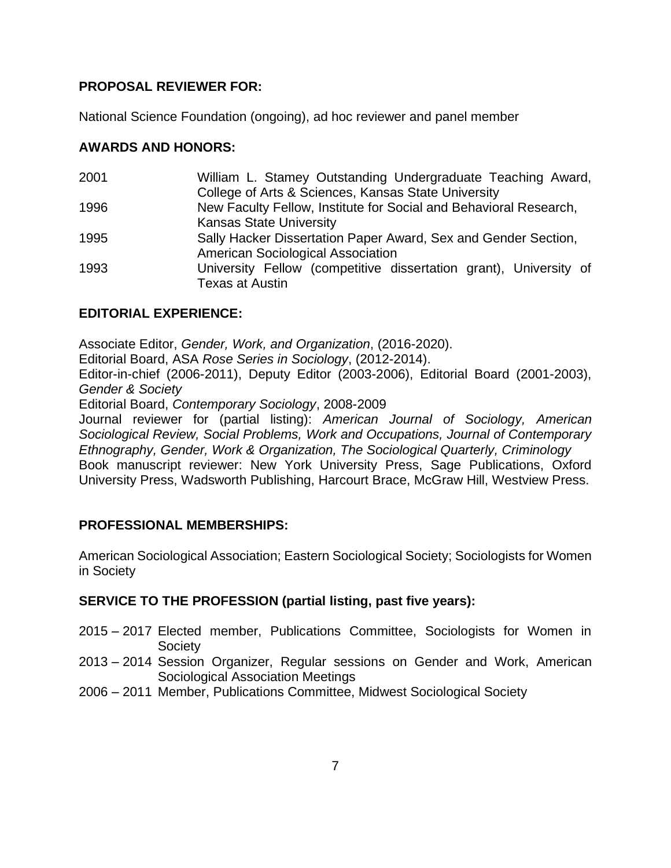## **PROPOSAL REVIEWER FOR:**

National Science Foundation (ongoing), ad hoc reviewer and panel member

## **AWARDS AND HONORS:**

| 2001 | William L. Stamey Outstanding Undergraduate Teaching Award,       |
|------|-------------------------------------------------------------------|
|      | College of Arts & Sciences, Kansas State University               |
| 1996 | New Faculty Fellow, Institute for Social and Behavioral Research, |
|      | <b>Kansas State University</b>                                    |
| 1995 | Sally Hacker Dissertation Paper Award, Sex and Gender Section,    |
|      | <b>American Sociological Association</b>                          |
| 1993 | University Fellow (competitive dissertation grant), University of |
|      | <b>Texas at Austin</b>                                            |

## **EDITORIAL EXPERIENCE:**

Associate Editor, *Gender, Work, and Organization*, (2016-2020).

Editorial Board, ASA *Rose Series in Sociology*, (2012-2014).

Editor-in-chief (2006-2011), Deputy Editor (2003-2006), Editorial Board (2001-2003), *Gender & Society*

Editorial Board, *Contemporary Sociology*, 2008-2009

Journal reviewer for (partial listing): *American Journal of Sociology, American Sociological Review, Social Problems, Work and Occupations, Journal of Contemporary Ethnography, Gender, Work & Organization, The Sociological Quarterly, Criminology* Book manuscript reviewer: New York University Press, Sage Publications, Oxford University Press, Wadsworth Publishing, Harcourt Brace, McGraw Hill, Westview Press.

## **PROFESSIONAL MEMBERSHIPS:**

American Sociological Association; Eastern Sociological Society; Sociologists for Women in Society

## **SERVICE TO THE PROFESSION (partial listing, past five years):**

- 2015 2017 Elected member, Publications Committee, Sociologists for Women in **Society**
- 2013 2014 Session Organizer, Regular sessions on Gender and Work, American Sociological Association Meetings
- 2006 2011 Member, Publications Committee, Midwest Sociological Society